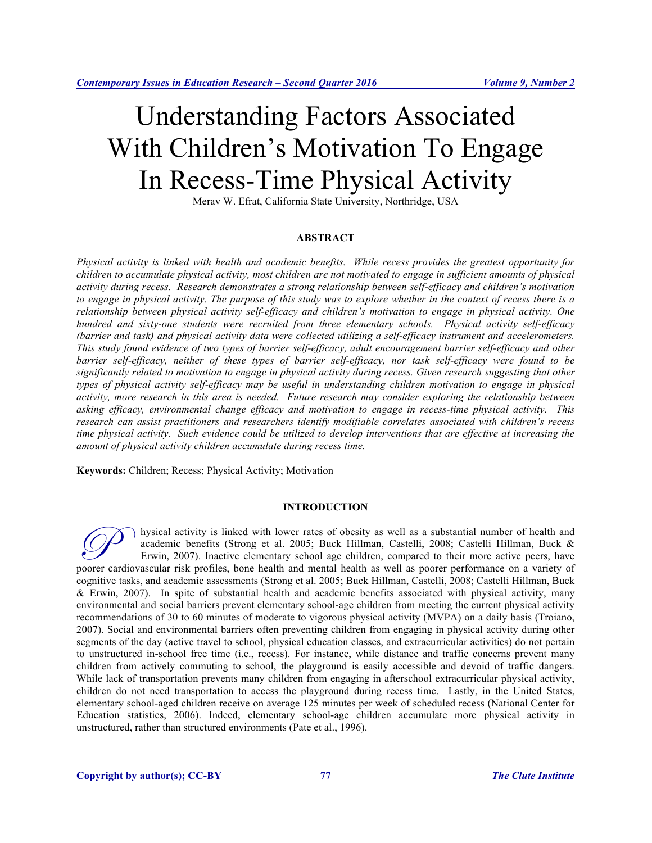# Understanding Factors Associated With Children's Motivation To Engage In Recess-Time Physical Activity

Merav W. Efrat, California State University, Northridge, USA

# **ABSTRACT**

*Physical activity is linked with health and academic benefits. While recess provides the greatest opportunity for children to accumulate physical activity, most children are not motivated to engage in sufficient amounts of physical activity during recess. Research demonstrates a strong relationship between self-efficacy and children's motivation to engage in physical activity. The purpose of this study was to explore whether in the context of recess there is a relationship between physical activity self-efficacy and children's motivation to engage in physical activity. One hundred and sixty-one students were recruited from three elementary schools. Physical activity self-efficacy (barrier and task) and physical activity data were collected utilizing a self-efficacy instrument and accelerometers. This study found evidence of two types of barrier self-efficacy, adult encouragement barrier self-efficacy and other barrier self-efficacy, neither of these types of barrier self-efficacy, nor task self-efficacy were found to be significantly related to motivation to engage in physical activity during recess. Given research suggesting that other types of physical activity self-efficacy may be useful in understanding children motivation to engage in physical activity, more research in this area is needed. Future research may consider exploring the relationship between asking efficacy, environmental change efficacy and motivation to engage in recess-time physical activity. This research can assist practitioners and researchers identify modifiable correlates associated with children's recess time physical activity. Such evidence could be utilized to develop interventions that are effective at increasing the amount of physical activity children accumulate during recess time.* 

**Keywords:** Children; Recess; Physical Activity; Motivation

#### **INTRODUCTION**

hysical activity is linked with lower rates of obesity as well as a substantial number of health and academic benefits (Strong et al. 2005; Buck Hillman, Castelli, 2008; Castelli Hillman, Buck & Erwin, 2007). Inactive elementary school age children, compared to their more active peers, have poorer cardiovascular risk profiles, bone health and mental health as well as a substantial number of health and academic benefits (Strong et al. 2005; Buck Hillman, Castelli, 2008; Castelli Hillman, Buck & Erwin, 2007). I cognitive tasks, and academic assessments (Strong et al. 2005; Buck Hillman, Castelli, 2008; Castelli Hillman, Buck & Erwin, 2007). In spite of substantial health and academic benefits associated with physical activity, many environmental and social barriers prevent elementary school-age children from meeting the current physical activity recommendations of 30 to 60 minutes of moderate to vigorous physical activity (MVPA) on a daily basis (Troiano, 2007). Social and environmental barriers often preventing children from engaging in physical activity during other segments of the day (active travel to school, physical education classes, and extracurricular activities) do not pertain to unstructured in-school free time (i.e., recess). For instance, while distance and traffic concerns prevent many children from actively commuting to school, the playground is easily accessible and devoid of traffic dangers. While lack of transportation prevents many children from engaging in afterschool extracurricular physical activity, children do not need transportation to access the playground during recess time. Lastly, in the United States, elementary school-aged children receive on average 125 minutes per week of scheduled recess (National Center for Education statistics, 2006). Indeed, elementary school-age children accumulate more physical activity in unstructured, rather than structured environments (Pate et al., 1996).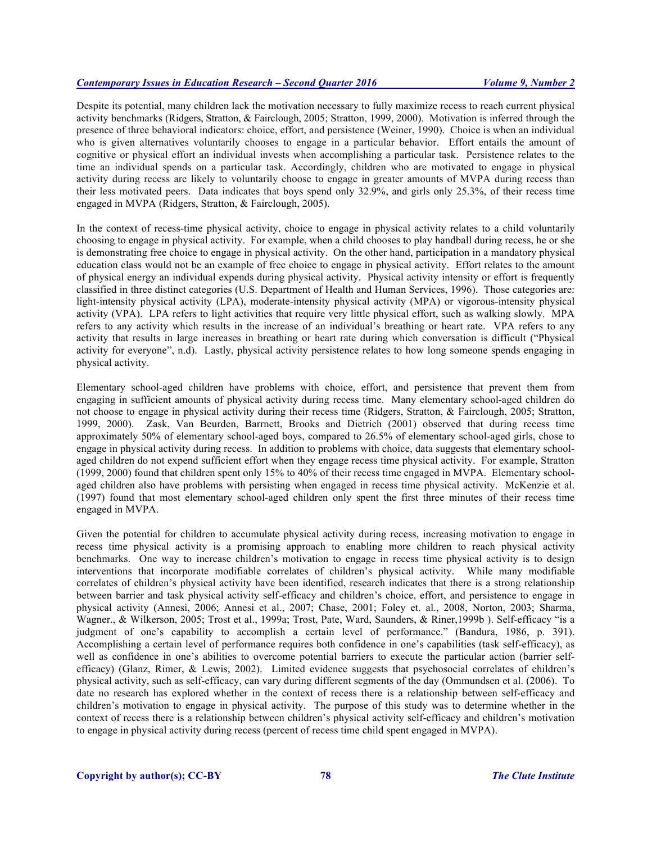Despite its potential, many children lack the motivation necessary to fully maximize recess to reach current physical activity benchmarks (Ridgers, Stratton, & Fairclough, 2005; Stratton, 1999, 2000). Motivation is inferred through the presence of three behavioral indicators: choice, effort, and persistence (Weiner, 1990). Choice is when an individual who is given alternatives voluntarily chooses to engage in a particular behavior. Effort entails the amount of cognitive or physical effort an individual invests when accomplishing a particular task. Persistence relates to the time an individual spends on a particular task. Accordingly, children who are motivated to engage in physical activity during recess are likely to voluntarily choose to engage in greater amounts of MVPA during recess than their less motivated peers. Data indicates that boys spend only 32.9%, and girls only 25.3%, of their recess time engaged in MVPA (Ridgers, Stratton, & Fairclough, 2005).

In the context of recess-time physical activity, choice to engage in physical activity relates to a child voluntarily choosing to engage in physical activity. For example, when a child chooses to play handball during recess, he or she is demonstrating free choice to engage in physical activity. On the other hand, participation in a mandatory physical education class would not be an example of free choice to engage in physical activity. Effort relates to the amount of physical energy an individual expends during physical activity. Physical activity intensity or effort is frequently classified in three distinct categories (U.S. Department of Health and Human Services, 1996). Those categories are: light-intensity physical activity (LPA), moderate-intensity physical activity (MPA) or vigorous-intensity physical activity (VPA). LPA refers to light activities that require very little physical effort, such as walking slowly. MPA refers to any activity which results in the increase of an individual's breathing or heart rate. VPA refers to any activity that results in large increases in breathing or heart rate during which conversation is difficult ("Physical activity for everyone", n.d). Lastly, physical activity persistence relates to how long someone spends engaging in physical activity.

Elementary school-aged children have problems with choice, effort, and persistence that prevent them from engaging in sufficient amounts of physical activity during recess time. Many elementary school-aged children do not choose to engage in physical activity during their recess time (Ridgers, Stratton, & Fairclough, 2005; Stratton, 1999, 2000). Zask, Van Beurden, Barrnett, Brooks and Dietrich (2001) observed that during recess time approximately 50% of elementary school-aged boys, compared to 26.5% of elementary school-aged girls, chose to engage in physical activity during recess. In addition to problems with choice, data suggests that elementary schoolaged children do not expend sufficient effort when they engage recess time physical activity. For example, Stratton (1999, 2000) found that children spent only 15% to 40% of their recess time engaged in MVPA. Elementary schoolaged children also have problems with persisting when engaged in recess time physical activity. McKenzie et al. (1997) found that most elementary school-aged children only spent the first three minutes of their recess time engaged in MVPA.

Given the potential for children to accumulate physical activity during recess, increasing motivation to engage in recess time physical activity is a promising approach to enabling more children to reach physical activity benchmarks. One way to increase children's motivation to engage in recess time physical activity is to design interventions that incorporate modifiable correlates of children's physical activity. While many modifiable correlates of children's physical activity have been identified, research indicates that there is a strong relationship between barrier and task physical activity self-efficacy and children's choice, effort, and persistence to engage in physical activity (Annesi, 2006; Annesi et al., 2007; Chase, 2001; Foley et. al., 2008, Norton, 2003; Sharma, Wagner., & Wilkerson, 2005; Trost et al., 1999a; Trost, Pate, Ward, Saunders, & Riner,1999b ). Self-efficacy "is a judgment of one's capability to accomplish a certain level of performance." (Bandura, 1986, p. 391). Accomplishing a certain level of performance requires both confidence in one's capabilities (task self-efficacy), as well as confidence in one's abilities to overcome potential barriers to execute the particular action (barrier selfefficacy) (Glanz, Rimer, & Lewis, 2002). Limited evidence suggests that psychosocial correlates of children's physical activity, such as self-efficacy, can vary during different segments of the day (Ommundsen et al. (2006). To date no research has explored whether in the context of recess there is a relationship between self-efficacy and children's motivation to engage in physical activity. The purpose of this study was to determine whether in the context of recess there is a relationship between children's physical activity self-efficacy and children's motivation to engage in physical activity during recess (percent of recess time child spent engaged in MVPA).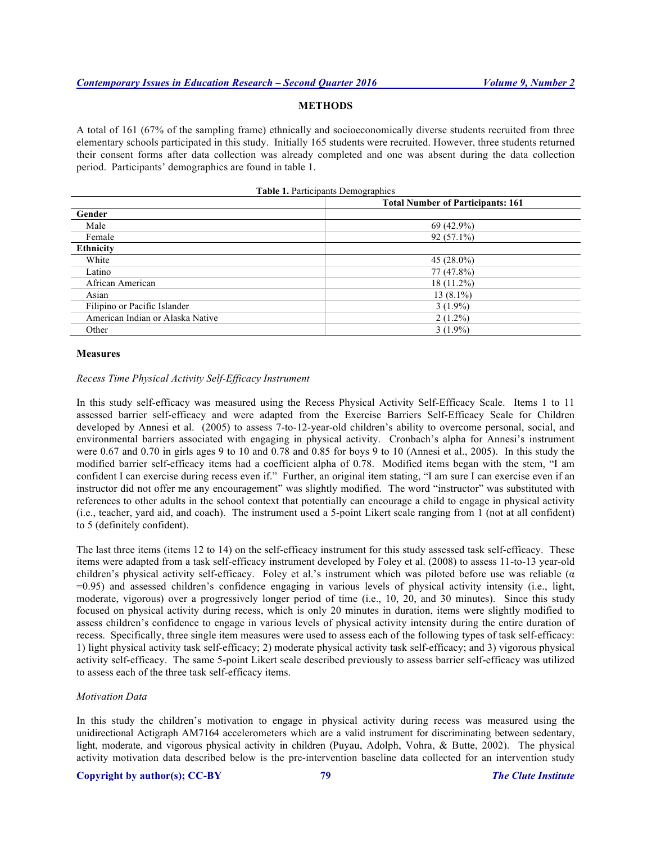# **METHODS**

A total of 161 (67% of the sampling frame) ethnically and socioeconomically diverse students recruited from three elementary schools participated in this study. Initially 165 students were recruited. However, three students returned their consent forms after data collection was already completed and one was absent during the data collection period. Participants' demographics are found in table 1.

**Table 1.** Participants Demographics

|                                  | <b>Total Number of Participants: 161</b> |  |
|----------------------------------|------------------------------------------|--|
| Gender                           |                                          |  |
| Male                             | $69(42.9\%)$                             |  |
| Female                           | $92(57.1\%)$                             |  |
| <b>Ethnicity</b>                 |                                          |  |
| White                            | 45 $(28.0\%)$                            |  |
| Latino                           | 77 (47.8%)                               |  |
| African American                 | $18(11.2\%)$                             |  |
| Asian                            | $13(8.1\%)$                              |  |
| Filipino or Pacific Islander     | $3(1.9\%)$                               |  |
| American Indian or Alaska Native | $2(1.2\%)$                               |  |
| Other                            | $3(1.9\%)$                               |  |

### **Measures**

#### *Recess Time Physical Activity Self-Efficacy Instrument*

In this study self-efficacy was measured using the Recess Physical Activity Self-Efficacy Scale. Items 1 to 11 assessed barrier self-efficacy and were adapted from the Exercise Barriers Self-Efficacy Scale for Children developed by Annesi et al. (2005) to assess 7-to-12-year-old children's ability to overcome personal, social, and environmental barriers associated with engaging in physical activity. Cronbach's alpha for Annesi's instrument were 0.67 and 0.70 in girls ages 9 to 10 and 0.78 and 0.85 for boys 9 to 10 (Annesi et al., 2005). In this study the modified barrier self-efficacy items had a coefficient alpha of 0.78. Modified items began with the stem, "I am confident I can exercise during recess even if." Further, an original item stating, "I am sure I can exercise even if an instructor did not offer me any encouragement" was slightly modified. The word "instructor" was substituted with references to other adults in the school context that potentially can encourage a child to engage in physical activity (i.e., teacher, yard aid, and coach). The instrument used a 5-point Likert scale ranging from 1 (not at all confident) to 5 (definitely confident).

The last three items (items 12 to 14) on the self-efficacy instrument for this study assessed task self-efficacy. These items were adapted from a task self-efficacy instrument developed by Foley et al. (2008) to assess 11-to-13 year-old children's physical activity self-efficacy. Foley et al.'s instrument which was piloted before use was reliable (α =0.95) and assessed children's confidence engaging in various levels of physical activity intensity (i.e., light, moderate, vigorous) over a progressively longer period of time (i.e., 10, 20, and 30 minutes). Since this study focused on physical activity during recess, which is only 20 minutes in duration, items were slightly modified to assess children's confidence to engage in various levels of physical activity intensity during the entire duration of recess. Specifically, three single item measures were used to assess each of the following types of task self-efficacy: 1) light physical activity task self-efficacy; 2) moderate physical activity task self-efficacy; and 3) vigorous physical activity self-efficacy. The same 5-point Likert scale described previously to assess barrier self-efficacy was utilized to assess each of the three task self-efficacy items.

### *Motivation Data*

In this study the children's motivation to engage in physical activity during recess was measured using the unidirectional Actigraph AM7164 accelerometers which are a valid instrument for discriminating between sedentary, light, moderate, and vigorous physical activity in children (Puyau, Adolph, Vohra, & Butte, 2002). The physical activity motivation data described below is the pre-intervention baseline data collected for an intervention study

# **Copyright by author(s); CC-BY 79** *The Clute Institute*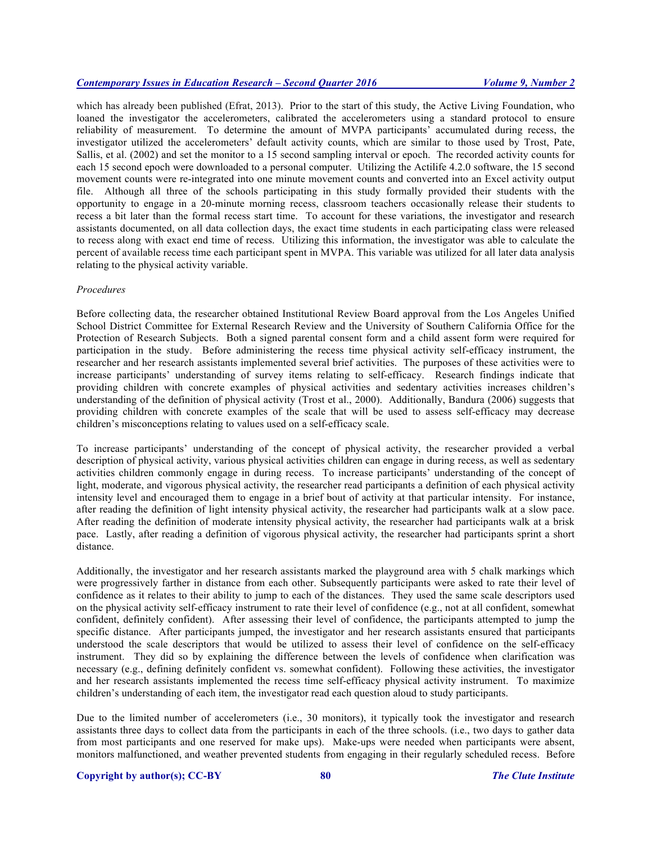which has already been published (Efrat, 2013). Prior to the start of this study, the Active Living Foundation, who loaned the investigator the accelerometers, calibrated the accelerometers using a standard protocol to ensure reliability of measurement. To determine the amount of MVPA participants' accumulated during recess, the investigator utilized the accelerometers' default activity counts, which are similar to those used by Trost, Pate, Sallis, et al. (2002) and set the monitor to a 15 second sampling interval or epoch. The recorded activity counts for each 15 second epoch were downloaded to a personal computer. Utilizing the Actilife 4.2.0 software, the 15 second movement counts were re-integrated into one minute movement counts and converted into an Excel activity output file. Although all three of the schools participating in this study formally provided their students with the opportunity to engage in a 20-minute morning recess, classroom teachers occasionally release their students to recess a bit later than the formal recess start time. To account for these variations, the investigator and research assistants documented, on all data collection days, the exact time students in each participating class were released to recess along with exact end time of recess. Utilizing this information, the investigator was able to calculate the percent of available recess time each participant spent in MVPA. This variable was utilized for all later data analysis relating to the physical activity variable.

#### *Procedures*

Before collecting data, the researcher obtained Institutional Review Board approval from the Los Angeles Unified School District Committee for External Research Review and the University of Southern California Office for the Protection of Research Subjects. Both a signed parental consent form and a child assent form were required for participation in the study. Before administering the recess time physical activity self-efficacy instrument, the researcher and her research assistants implemented several brief activities. The purposes of these activities were to increase participants' understanding of survey items relating to self-efficacy. Research findings indicate that providing children with concrete examples of physical activities and sedentary activities increases children's understanding of the definition of physical activity (Trost et al., 2000). Additionally, Bandura (2006) suggests that providing children with concrete examples of the scale that will be used to assess self-efficacy may decrease children's misconceptions relating to values used on a self-efficacy scale.

To increase participants' understanding of the concept of physical activity, the researcher provided a verbal description of physical activity, various physical activities children can engage in during recess, as well as sedentary activities children commonly engage in during recess. To increase participants' understanding of the concept of light, moderate, and vigorous physical activity, the researcher read participants a definition of each physical activity intensity level and encouraged them to engage in a brief bout of activity at that particular intensity. For instance, after reading the definition of light intensity physical activity, the researcher had participants walk at a slow pace. After reading the definition of moderate intensity physical activity, the researcher had participants walk at a brisk pace. Lastly, after reading a definition of vigorous physical activity, the researcher had participants sprint a short distance.

Additionally, the investigator and her research assistants marked the playground area with 5 chalk markings which were progressively farther in distance from each other. Subsequently participants were asked to rate their level of confidence as it relates to their ability to jump to each of the distances. They used the same scale descriptors used on the physical activity self-efficacy instrument to rate their level of confidence (e.g., not at all confident, somewhat confident, definitely confident). After assessing their level of confidence, the participants attempted to jump the specific distance. After participants jumped, the investigator and her research assistants ensured that participants understood the scale descriptors that would be utilized to assess their level of confidence on the self-efficacy instrument. They did so by explaining the difference between the levels of confidence when clarification was necessary (e.g., defining definitely confident vs. somewhat confident). Following these activities, the investigator and her research assistants implemented the recess time self-efficacy physical activity instrument. To maximize children's understanding of each item, the investigator read each question aloud to study participants.

Due to the limited number of accelerometers (i.e., 30 monitors), it typically took the investigator and research assistants three days to collect data from the participants in each of the three schools. (i.e., two days to gather data from most participants and one reserved for make ups). Make-ups were needed when participants were absent, monitors malfunctioned, and weather prevented students from engaging in their regularly scheduled recess. Before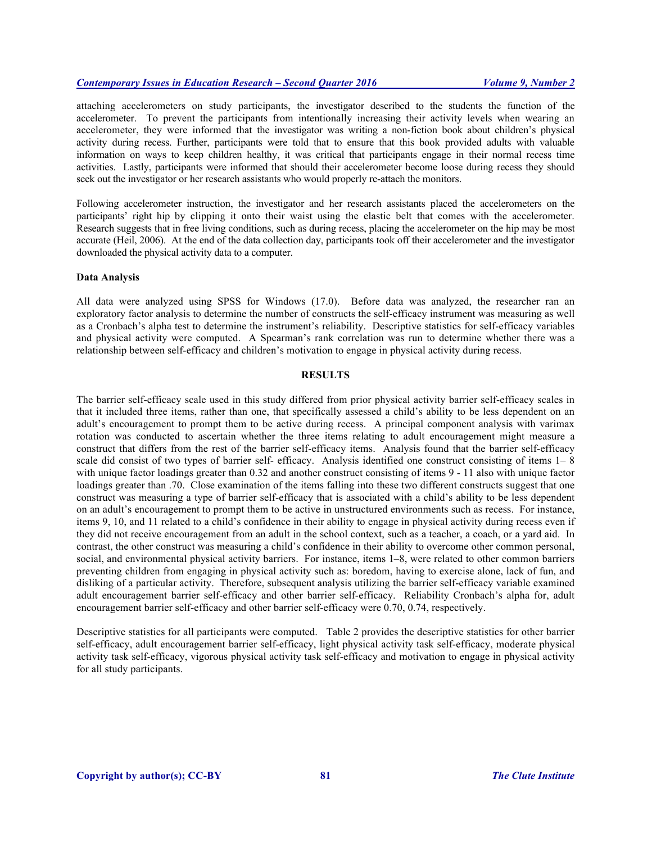attaching accelerometers on study participants, the investigator described to the students the function of the accelerometer. To prevent the participants from intentionally increasing their activity levels when wearing an accelerometer, they were informed that the investigator was writing a non-fiction book about children's physical activity during recess. Further, participants were told that to ensure that this book provided adults with valuable information on ways to keep children healthy, it was critical that participants engage in their normal recess time activities. Lastly, participants were informed that should their accelerometer become loose during recess they should seek out the investigator or her research assistants who would properly re-attach the monitors.

Following accelerometer instruction, the investigator and her research assistants placed the accelerometers on the participants' right hip by clipping it onto their waist using the elastic belt that comes with the accelerometer. Research suggests that in free living conditions, such as during recess, placing the accelerometer on the hip may be most accurate (Heil, 2006). At the end of the data collection day, participants took off their accelerometer and the investigator downloaded the physical activity data to a computer.

#### **Data Analysis**

All data were analyzed using SPSS for Windows (17.0). Before data was analyzed, the researcher ran an exploratory factor analysis to determine the number of constructs the self-efficacy instrument was measuring as well as a Cronbach's alpha test to determine the instrument's reliability. Descriptive statistics for self-efficacy variables and physical activity were computed. A Spearman's rank correlation was run to determine whether there was a relationship between self-efficacy and children's motivation to engage in physical activity during recess.

# **RESULTS**

The barrier self-efficacy scale used in this study differed from prior physical activity barrier self-efficacy scales in that it included three items, rather than one, that specifically assessed a child's ability to be less dependent on an adult's encouragement to prompt them to be active during recess. A principal component analysis with varimax rotation was conducted to ascertain whether the three items relating to adult encouragement might measure a construct that differs from the rest of the barrier self-efficacy items. Analysis found that the barrier self-efficacy scale did consist of two types of barrier self- efficacy. Analysis identified one construct consisting of items 1– 8 with unique factor loadings greater than 0.32 and another construct consisting of items 9 - 11 also with unique factor loadings greater than .70. Close examination of the items falling into these two different constructs suggest that one construct was measuring a type of barrier self-efficacy that is associated with a child's ability to be less dependent on an adult's encouragement to prompt them to be active in unstructured environments such as recess. For instance, items 9, 10, and 11 related to a child's confidence in their ability to engage in physical activity during recess even if they did not receive encouragement from an adult in the school context, such as a teacher, a coach, or a yard aid. In contrast, the other construct was measuring a child's confidence in their ability to overcome other common personal, social, and environmental physical activity barriers. For instance, items 1–8, were related to other common barriers preventing children from engaging in physical activity such as: boredom, having to exercise alone, lack of fun, and disliking of a particular activity. Therefore, subsequent analysis utilizing the barrier self-efficacy variable examined adult encouragement barrier self-efficacy and other barrier self-efficacy. Reliability Cronbach's alpha for, adult encouragement barrier self-efficacy and other barrier self-efficacy were 0.70, 0.74, respectively.

Descriptive statistics for all participants were computed. Table 2 provides the descriptive statistics for other barrier self-efficacy, adult encouragement barrier self-efficacy, light physical activity task self-efficacy, moderate physical activity task self-efficacy, vigorous physical activity task self-efficacy and motivation to engage in physical activity for all study participants.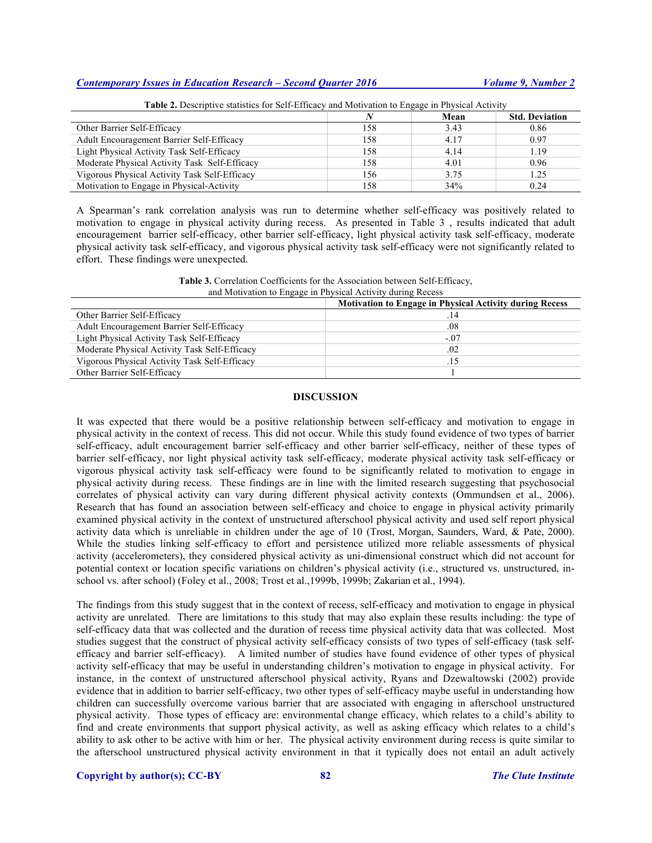|                                               |     | Mean | <b>Std. Deviation</b> |
|-----------------------------------------------|-----|------|-----------------------|
| Other Barrier Self-Efficacy                   | 158 | 3.43 | 0.86                  |
| Adult Encouragement Barrier Self-Efficacy     | 158 | 4.17 | 0.97                  |
| Light Physical Activity Task Self-Efficacy    | 158 | 4.14 | 1.19                  |
| Moderate Physical Activity Task Self-Efficacy | 158 | 4.01 | 0.96                  |
| Vigorous Physical Activity Task Self-Efficacy | 156 | 3.75 | 1.25                  |
| Motivation to Engage in Physical-Activity     | 158 | 34%  | 0.24                  |

# **Table 2.** Descriptive statistics for Self-Efficacy and Motivation to Engage in Physical Activity

A Spearman's rank correlation analysis was run to determine whether self-efficacy was positively related to motivation to engage in physical activity during recess. As presented in Table 3 , results indicated that adult encouragement barrier self-efficacy, other barrier self-efficacy, light physical activity task self-efficacy, moderate physical activity task self-efficacy, and vigorous physical activity task self-efficacy were not significantly related to effort. These findings were unexpected.

| Table 3. Correlation Coefficients for the Association between Self-Efficacy, |  |
|------------------------------------------------------------------------------|--|
| and Motivation to Engage in Physical Activity during Recess                  |  |

| .                                             | <b>Motivation to Engage in Physical Activity during Recess</b> |
|-----------------------------------------------|----------------------------------------------------------------|
| Other Barrier Self-Efficacy                   |                                                                |
| Adult Encouragement Barrier Self-Efficacy     | .08                                                            |
| Light Physical Activity Task Self-Efficacy    | $-.07$                                                         |
| Moderate Physical Activity Task Self-Efficacy | .02                                                            |
| Vigorous Physical Activity Task Self-Efficacy | .15                                                            |
| Other Barrier Self-Efficacy                   |                                                                |

# **DISCUSSION**

It was expected that there would be a positive relationship between self-efficacy and motivation to engage in physical activity in the context of recess. This did not occur. While this study found evidence of two types of barrier self-efficacy, adult encouragement barrier self-efficacy and other barrier self-efficacy, neither of these types of barrier self-efficacy, nor light physical activity task self-efficacy, moderate physical activity task self-efficacy or vigorous physical activity task self-efficacy were found to be significantly related to motivation to engage in physical activity during recess. These findings are in line with the limited research suggesting that psychosocial correlates of physical activity can vary during different physical activity contexts (Ommundsen et al., 2006). Research that has found an association between self-efficacy and choice to engage in physical activity primarily examined physical activity in the context of unstructured afterschool physical activity and used self report physical activity data which is unreliable in children under the age of 10 (Trost, Morgan, Saunders, Ward, & Pate, 2000). While the studies linking self-efficacy to effort and persistence utilized more reliable assessments of physical activity (accelerometers), they considered physical activity as uni-dimensional construct which did not account for potential context or location specific variations on children's physical activity (i.e., structured vs. unstructured, inschool vs. after school) (Foley et al., 2008; Trost et al.,1999b, 1999b; Zakarian et al., 1994).

The findings from this study suggest that in the context of recess, self-efficacy and motivation to engage in physical activity are unrelated. There are limitations to this study that may also explain these results including: the type of self-efficacy data that was collected and the duration of recess time physical activity data that was collected. Most studies suggest that the construct of physical activity self-efficacy consists of two types of self-efficacy (task selfefficacy and barrier self-efficacy). A limited number of studies have found evidence of other types of physical activity self-efficacy that may be useful in understanding children's motivation to engage in physical activity. For instance, in the context of unstructured afterschool physical activity, Ryans and Dzewaltowski (2002) provide evidence that in addition to barrier self-efficacy, two other types of self-efficacy maybe useful in understanding how children can successfully overcome various barrier that are associated with engaging in afterschool unstructured physical activity. Those types of efficacy are: environmental change efficacy, which relates to a child's ability to find and create environments that support physical activity, as well as asking efficacy which relates to a child's ability to ask other to be active with him or her. The physical activity environment during recess is quite similar to the afterschool unstructured physical activity environment in that it typically does not entail an adult actively

**Copyright by author(s); CC-BY 82** *The Clute Institute*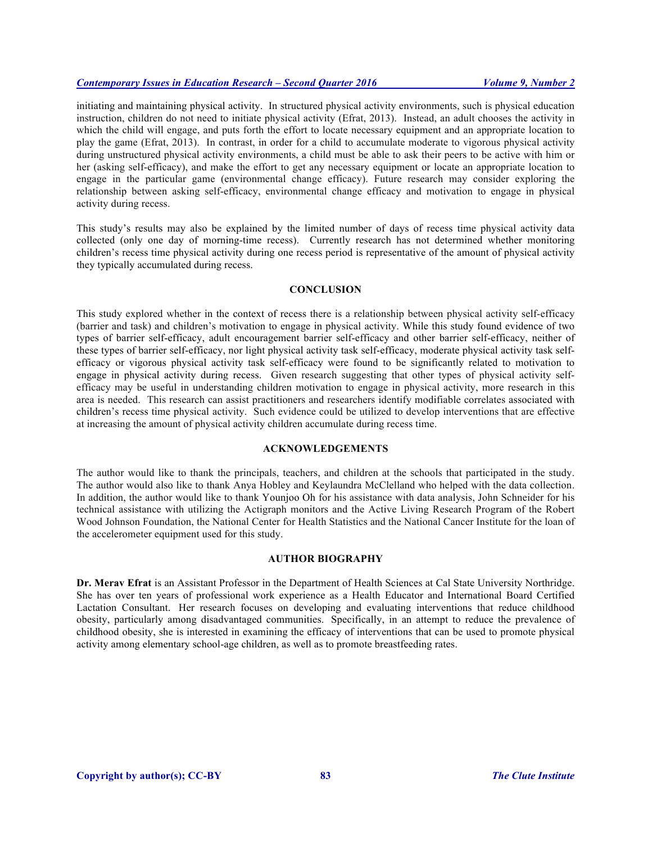initiating and maintaining physical activity. In structured physical activity environments, such is physical education instruction, children do not need to initiate physical activity (Efrat, 2013). Instead, an adult chooses the activity in which the child will engage, and puts forth the effort to locate necessary equipment and an appropriate location to play the game (Efrat, 2013). In contrast, in order for a child to accumulate moderate to vigorous physical activity during unstructured physical activity environments, a child must be able to ask their peers to be active with him or her (asking self-efficacy), and make the effort to get any necessary equipment or locate an appropriate location to engage in the particular game (environmental change efficacy). Future research may consider exploring the relationship between asking self-efficacy, environmental change efficacy and motivation to engage in physical activity during recess.

This study's results may also be explained by the limited number of days of recess time physical activity data collected (only one day of morning-time recess). Currently research has not determined whether monitoring children's recess time physical activity during one recess period is representative of the amount of physical activity they typically accumulated during recess.

#### **CONCLUSION**

This study explored whether in the context of recess there is a relationship between physical activity self-efficacy (barrier and task) and children's motivation to engage in physical activity. While this study found evidence of two types of barrier self-efficacy, adult encouragement barrier self-efficacy and other barrier self-efficacy, neither of these types of barrier self-efficacy, nor light physical activity task self-efficacy, moderate physical activity task selfefficacy or vigorous physical activity task self-efficacy were found to be significantly related to motivation to engage in physical activity during recess. Given research suggesting that other types of physical activity selfefficacy may be useful in understanding children motivation to engage in physical activity, more research in this area is needed. This research can assist practitioners and researchers identify modifiable correlates associated with children's recess time physical activity. Such evidence could be utilized to develop interventions that are effective at increasing the amount of physical activity children accumulate during recess time.

# **ACKNOWLEDGEMENTS**

The author would like to thank the principals, teachers, and children at the schools that participated in the study. The author would also like to thank Anya Hobley and Keylaundra McClelland who helped with the data collection. In addition, the author would like to thank Younjoo Oh for his assistance with data analysis, John Schneider for his technical assistance with utilizing the Actigraph monitors and the Active Living Research Program of the Robert Wood Johnson Foundation, the National Center for Health Statistics and the National Cancer Institute for the loan of the accelerometer equipment used for this study.

### **AUTHOR BIOGRAPHY**

**Dr. Merav Efrat** is an Assistant Professor in the Department of Health Sciences at Cal State University Northridge. She has over ten years of professional work experience as a Health Educator and International Board Certified Lactation Consultant. Her research focuses on developing and evaluating interventions that reduce childhood obesity, particularly among disadvantaged communities. Specifically, in an attempt to reduce the prevalence of childhood obesity, she is interested in examining the efficacy of interventions that can be used to promote physical activity among elementary school-age children, as well as to promote breastfeeding rates.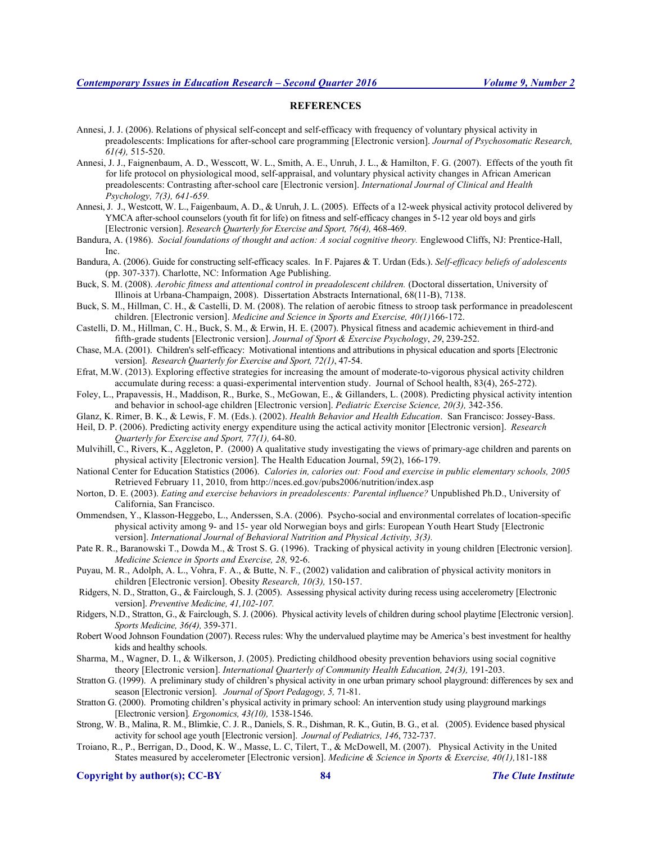#### **REFERENCES**

- Annesi, J. J. (2006). Relations of physical self-concept and self-efficacy with frequency of voluntary physical activity in preadolescents: Implications for after-school care programming [Electronic version]. *Journal of Psychosomatic Research, 61(4),* 515-520.
- Annesi, J. J., Faignenbaum, A. D., Wesscott, W. L., Smith, A. E., Unruh, J. L., & Hamilton, F. G. (2007). Effects of the youth fit for life protocol on physiological mood, self-appraisal, and voluntary physical activity changes in African American preadolescents: Contrasting after-school care [Electronic version]. *International Journal of Clinical and Health Psychology, 7(3), 641-659.*
- Annesi, J. J., Westcott, W. L., Faigenbaum, A. D., & Unruh, J. L. (2005). Effects of a 12-week physical activity protocol delivered by YMCA after-school counselors (youth fit for life) on fitness and self-efficacy changes in 5-12 year old boys and girls [Electronic version]. *Research Quarterly for Exercise and Sport, 76(4),* 468-469.
- Bandura, A. (1986). *Social foundations of thought and action: A social cognitive theory.* Englewood Cliffs, NJ: Prentice-Hall, Inc.
- Bandura, A. (2006). Guide for constructing self-efficacy scales. In F. Pajares & T. Urdan (Eds.). *Self-efficacy beliefs of adolescents*  (pp. 307-337). Charlotte, NC: Information Age Publishing.
- Buck, S. M. (2008). *Aerobic fitness and attentional control in preadolescent children.* (Doctoral dissertation, University of Illinois at Urbana-Champaign, 2008). Dissertation Abstracts International, 68(11-B), 7138.
- Buck, S. M., Hillman, C. H., & Castelli, D. M. (2008). The relation of aerobic fitness to stroop task performance in preadolescent children. [Electronic version]. *Medicine and Science in Sports and Exercise, 40(1)*166-172.
- Castelli, D. M., Hillman, C. H., Buck, S. M., & Erwin, H. E. (2007). Physical fitness and academic achievement in third-and fifth-grade students [Electronic version]. *Journal of Sport & Exercise Psychology*, *29*, 239-252.
- Chase, M.A. (2001). Children's self-efficacy: Motivational intentions and attributions in physical education and sports [Electronic version]. *Research Quarterly for Exercise and Sport, 72(1)*, 47-54.
- Efrat, M.W. (2013). Exploring effective strategies for increasing the amount of moderate-to-vigorous physical activity children accumulate during recess: a quasi-experimental intervention study. Journal of School health, 83(4), 265-272).
- Foley, L., Prapavessis, H., Maddison, R., Burke, S., McGowan, E., & Gillanders, L. (2008). Predicting physical activity intention and behavior in school-age children [Electronic version]. *Pediatric Exercise Science, 20(3),* 342-356.
- Glanz, K. Rimer, B. K., & Lewis, F. M. (Eds.). (2002). *Health Behavior and Health Education*. San Francisco: Jossey-Bass.
- Heil, D. P. (2006). Predicting activity energy expenditure using the actical activity monitor [Electronic version]. *Research Quarterly for Exercise and Sport, 77(1),* 64-80.
- Mulvihill, C., Rivers, K., Aggleton, P. (2000) A qualitative study investigating the views of primary-age children and parents on physical activity [Electronic version]. The Health Education Journal, 59(2), 166-179.
- National Center for Education Statistics (2006). *Calories in, calories out: Food and exercise in public elementary schools, 2005* Retrieved February 11, 2010, from http://nces.ed.gov/pubs2006/nutrition/index.asp
- Norton, D. E. (2003). *Eating and exercise behaviors in preadolescents: Parental influence?* Unpublished Ph.D., University of California, San Francisco.
- Ommendsen, Y., Klasson-Heggebo, L., Anderssen, S.A. (2006). Psycho-social and environmental correlates of location-specific physical activity among 9- and 15- year old Norwegian boys and girls: European Youth Heart Study [Electronic version]. *International Journal of Behavioral Nutrition and Physical Activity, 3(3).*
- Pate R. R., Baranowski T., Dowda M., & Trost S. G. (1996). Tracking of physical activity in young children [Electronic version]. *Medicine Science in Sports and Exercise, 28,* 92-6.
- Puyau, M. R., Adolph, A. L., Vohra, F. A., & Butte, N. F., (2002) validation and calibration of physical activity monitors in children [Electronic version]. Obesity *Research, 10(3),* 150-157.
- Ridgers, N. D., Stratton, G., & Fairclough, S. J. (2005). Assessing physical activity during recess using accelerometry [Electronic version]. *Preventive Medicine, 41,102-107.*
- Ridgers, N.D., Stratton, G., & Fairclough, S. J. (2006). Physical activity levels of children during school playtime [Electronic version]. *Sports Medicine, 36(4),* 359-371.
- Robert Wood Johnson Foundation (2007). Recess rules: Why the undervalued playtime may be America's best investment for healthy kids and healthy schools.
- Sharma, M., Wagner, D. I., & Wilkerson, J. (2005). Predicting childhood obesity prevention behaviors using social cognitive theory [Electronic version]. *International Quarterly of Community Health Education, 24(3),* 191-203.
- Stratton G. (1999). A preliminary study of children's physical activity in one urban primary school playground: differences by sex and season [Electronic version]. *Journal of Sport Pedagogy, 5,* 71-81.
- Stratton G. (2000). Promoting children's physical activity in primary school: An intervention study using playground markings [Electronic version]*. Ergonomics, 43(10),* 1538-1546.
- Strong, W. B., Malina, R. M., Blimkie, C. J. R., Daniels, S. R., Dishman, R. K., Gutin, B. G., et al. (2005). Evidence based physical activity for school age youth [Electronic version]. *Journal of Pediatrics, 146*, 732-737.
- Troiano, R., P., Berrigan, D., Dood, K. W., Masse, L. C, Tilert, T., & McDowell, M. (2007). Physical Activity in the United States measured by accelerometer [Electronic version]. *Medicine & Science in Sports & Exercise, 40(1),*181-188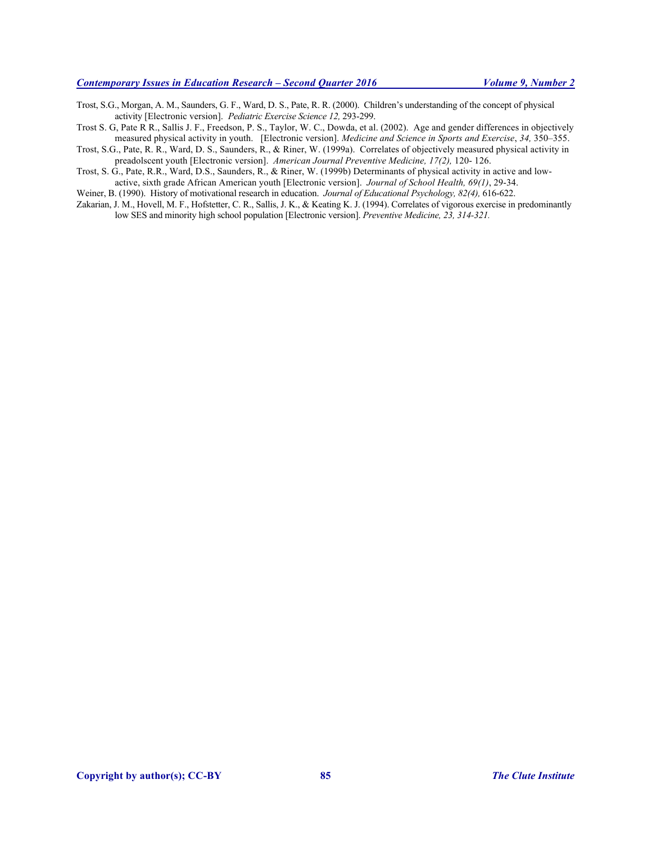Trost, S.G., Morgan, A. M., Saunders, G. F., Ward, D. S., Pate, R. R. (2000). Children's understanding of the concept of physical activity [Electronic version]. *Pediatric Exercise Science 12,* 293-299.

Trost S. G, Pate R R., Sallis J. F., Freedson, P. S., Taylor, W. C., Dowda, et al. (2002). Age and gender differences in objectively measured physical activity in youth. [Electronic version]. *Medicine and Science in Sports and Exercise*, *34,* 350–355.

Trost, S.G., Pate, R. R., Ward, D. S., Saunders, R., & Riner, W. (1999a). Correlates of objectively measured physical activity in preadolscent youth [Electronic version]. *American Journal Preventive Medicine, 17(2),* 120- 126.

Trost, S. G., Pate, R.R., Ward, D.S., Saunders, R., & Riner, W. (1999b) Determinants of physical activity in active and low-

active, sixth grade African American youth [Electronic version]. *Journal of School Health, 69(1)*, 29-34. Weiner, B. (1990). History of motivational research in education. *Journal of Educational Psychology, 82(4),* 616-622.

Zakarian, J. M., Hovell, M. F., Hofstetter, C. R., Sallis, J. K., & Keating K. J. (1994). Correlates of vigorous exercise in predominantly low SES and minority high school population [Electronic version]. *Preventive Medicine, 23, 314-321.*